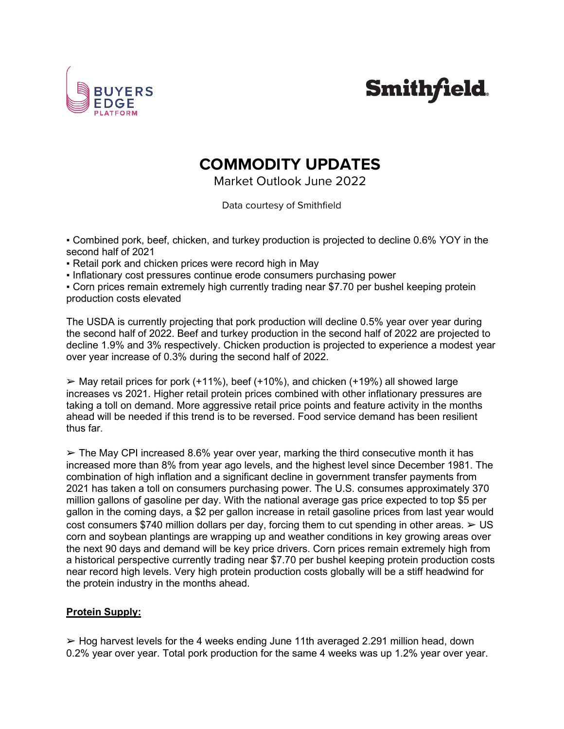

## **Smithfield.**

## **COMMODITY UPDATES**

Market Outlook June 2022

Data courtesy of Smithfield

▪ Combined pork, beef, chicken, and turkey production is projected to decline 0.6% YOY in the second half of 2021

• Retail pork and chicken prices were record high in May

▪ Inflationary cost pressures continue erode consumers purchasing power

▪ Corn prices remain extremely high currently trading near \$7.70 per bushel keeping protein production costs elevated

The USDA is currently projecting that pork production will decline 0.5% year over year during the second half of 2022. Beef and turkey production in the second half of 2022 are projected to decline 1.9% and 3% respectively. Chicken production is projected to experience a modest year over year increase of 0.3% during the second half of 2022.

 $\triangleright$  May retail prices for pork (+11%), beef (+10%), and chicken (+19%) all showed large increases vs 2021. Higher retail protein prices combined with other inflationary pressures are taking a toll on demand. More aggressive retail price points and feature activity in the months ahead will be needed if this trend is to be reversed. Food service demand has been resilient thus far.

 $\geq$  The May CPI increased 8.6% year over year, marking the third consecutive month it has increased more than 8% from year ago levels, and the highest level since December 1981. The combination of high inflation and a significant decline in government transfer payments from 2021 has taken a toll on consumers purchasing power. The U.S. consumes approximately 370 million gallons of gasoline per day. With the national average gas price expected to top \$5 per gallon in the coming days, a \$2 per gallon increase in retail gasoline prices from last year would cost consumers \$740 million dollars per day, forcing them to cut spending in other areas.  $\geq$  US corn and soybean plantings are wrapping up and weather conditions in key growing areas over the next 90 days and demand will be key price drivers. Corn prices remain extremely high from a historical perspective currently trading near \$7.70 per bushel keeping protein production costs near record high levels. Very high protein production costs globally will be a stiff headwind for the protein industry in the months ahead.

## **Protein Supply:**

 $\geq$  Hog harvest levels for the 4 weeks ending June 11th averaged 2.291 million head, down 0.2% year over year. Total pork production for the same 4 weeks was up 1.2% year over year.